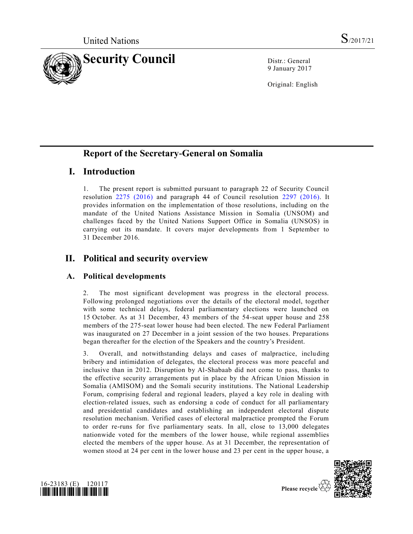

9 January 2017

Original: English

# **Report of the Secretary-General on Somalia**

# **I. Introduction**

1. The present report is submitted pursuant to paragraph 22 of Security Council resolution [2275 \(2016\)](http://undocs.org/S/RES/2275(2016)) and paragraph 44 of Council resolution [2297 \(2016\).](http://undocs.org/S/RES/2297(2016)) It provides information on the implementation of those resolutions, including on the mandate of the United Nations Assistance Mission in Somalia (UNSOM) and challenges faced by the United Nations Support Office in Somalia (UNSOS) in carrying out its mandate. It covers major developments from 1 September to 31 December 2016.

# **II. Political and security overview**

## **A. Political developments**

2. The most significant development was progress in the electoral process. Following prolonged negotiations over the details of the electoral model, together with some technical delays, federal parliamentary elections were launched on 15 October. As at 31 December, 43 members of the 54-seat upper house and 258 members of the 275-seat lower house had been elected. The new Federal Parliament was inaugurated on 27 December in a joint session of the two houses. Preparations began thereafter for the election of the Speakers and the country's President.

3. Overall, and notwithstanding delays and cases of malpractice, including bribery and intimidation of delegates, the electoral process was more peaceful and inclusive than in 2012. Disruption by Al-Shabaab did not come to pass, thanks to the effective security arrangements put in place by the African Union Mission in Somalia (AMISOM) and the Somali security institutions. The National Leadership Forum, comprising federal and regional leaders, played a key role in dealing with election-related issues, such as endorsing a code of conduct for all parliamentary and presidential candidates and establishing an independent electoral dispute resolution mechanism. Verified cases of electoral malpractice prompted the Forum to order re-runs for five parliamentary seats. In all, close to 13,000 delegates nationwide voted for the members of the lower house, while regional assemblies elected the members of the upper house. As at 31 December, the representation of women stood at 24 per cent in the lower house and 23 per cent in the upper house, a



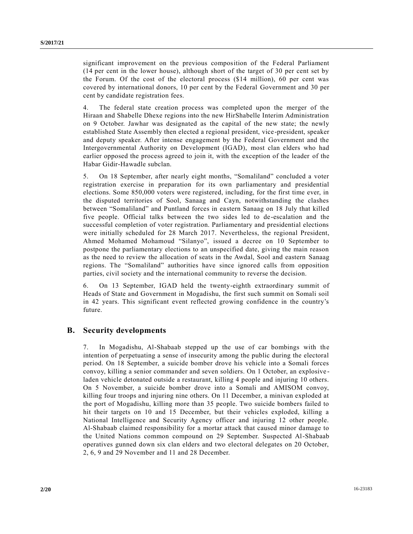significant improvement on the previous composition of the Federal Parliament (14 per cent in the lower house), although short of the target of 30 per cent set by the Forum. Of the cost of the electoral process (\$14 million), 60 per cent was covered by international donors, 10 per cent by the Federal Government and 30 per cent by candidate registration fees.

4. The federal state creation process was completed upon the merger of the Hiraan and Shabelle Dhexe regions into the new HirShabelle Interim Administration on 9 October. Jawhar was designated as the capital of the new state; the newly established State Assembly then elected a regional president, vice -president, speaker and deputy speaker. After intense engagement by the Federal Government and the Intergovernmental Authority on Development (IGAD), most clan elders who had earlier opposed the process agreed to join it, with the exception of the leader of the Habar Gidir-Hawadle subclan.

5. On 18 September, after nearly eight months, "Somaliland" concluded a voter registration exercise in preparation for its own parliamentary and presidential elections. Some 850,000 voters were registered, including, for the first time ever, in the disputed territories of Sool, Sanaag and Cayn, notwithstanding the clashes between "Somaliland" and Puntland forces in eastern Sanaag on 18 July that killed five people. Official talks between the two sides led to de-escalation and the successful completion of voter registration. Parliamentary and presidential elections were initially scheduled for 28 March 2017. Nevertheless, the regional President, Ahmed Mohamed Mohamoud "Silanyo", issued a decree on 10 September to postpone the parliamentary elections to an unspecified date, giving the main reason as the need to review the allocation of seats in the Awdal, Sool and eastern Sanaag regions. The "Somaliland" authorities have since ignored calls from opposition parties, civil society and the international community to reverse the decision.

6. On 13 September, IGAD held the twenty-eighth extraordinary summit of Heads of State and Government in Mogadishu, the first such summit on Somali soil in 42 years. This significant event reflected growing confidence in the country's future.

## **B. Security developments**

7. In Mogadishu, Al-Shabaab stepped up the use of car bombings with the intention of perpetuating a sense of insecurity among the public during the electoral period. On 18 September, a suicide bomber drove his vehicle into a Somali forces convoy, killing a senior commander and seven soldiers. On 1 October, an explosive laden vehicle detonated outside a restaurant, killing 4 people and injuring 10 others. On 5 November, a suicide bomber drove into a Somali and AMISOM convoy, killing four troops and injuring nine others. On 11 December, a minivan exploded at the port of Mogadishu, killing more than 35 people. Two suicide bombers failed to hit their targets on 10 and 15 December, but their vehicles exploded, killing a National Intelligence and Security Agency officer and injuring 12 other people. Al-Shabaab claimed responsibility for a mortar attack that caused minor damage to the United Nations common compound on 29 September. Suspected Al-Shabaab operatives gunned down six clan elders and two electoral delegates on 20 October, 2, 6, 9 and 29 November and 11 and 28 December.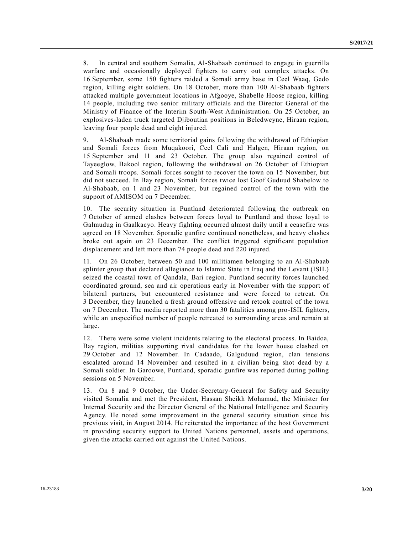8. In central and southern Somalia, Al-Shabaab continued to engage in guerrilla warfare and occasionally deployed fighters to carry out complex attacks. On 16 September, some 150 fighters raided a Somali army base in Ceel Waaq, Gedo region, killing eight soldiers. On 18 October, more than 100 Al-Shabaab fighters attacked multiple government locations in Afgooye, Shabelle Hoose region, killing 14 people, including two senior military officials and the Director General of the Ministry of Finance of the Interim South-West Administration. On 25 October, an explosives-laden truck targeted Djiboutian positions in Beledweyne, Hiraan region, leaving four people dead and eight injured.

9. Al-Shabaab made some territorial gains following the withdrawal of Ethiopian and Somali forces from Muqakoori, Ceel Cali and Halgen, Hiraan region, on 15 September and 11 and 23 October. The group also regained control of Tayeeglow, Bakool region, following the withdrawal on 26 October of Ethiopian and Somali troops. Somali forces sought to recover the town on 15 November, but did not succeed. In Bay region, Somali forces twice lost Goof Guduud Shabelow to Al-Shabaab, on 1 and 23 November, but regained control of the town with the support of AMISOM on 7 December.

10. The security situation in Puntland deteriorated following the outbreak on 7 October of armed clashes between forces loyal to Puntland and those loyal to Galmudug in Gaalkacyo. Heavy fighting occurred almost daily until a ceasefire was agreed on 18 November. Sporadic gunfire continued nonetheless, and heavy clashes broke out again on 23 December. The conflict triggered significant population displacement and left more than 74 people dead and 220 injured.

11. On 26 October, between 50 and 100 militiamen belonging to an Al-Shabaab splinter group that declared allegiance to Islamic State in Iraq and the Levant (ISIL) seized the coastal town of Qandala, Bari region. Puntland security forces launched coordinated ground, sea and air operations early in November with the support of bilateral partners, but encountered resistance and were forced to retreat. On 3 December, they launched a fresh ground offensive and retook control of the town on 7 December. The media reported more than 30 fatalities among pro-ISIL fighters, while an unspecified number of people retreated to surrounding areas and remain at large.

12. There were some violent incidents relating to the electoral process. In Baidoa, Bay region, militias supporting rival candidates for the lower house clashed on 29 October and 12 November. In Cadaado, Galguduud region, clan tensions escalated around 14 November and resulted in a civilian being shot dead by a Somali soldier. In Garoowe, Puntland, sporadic gunfire was reported during polling sessions on 5 November.

13. On 8 and 9 October, the Under-Secretary-General for Safety and Security visited Somalia and met the President, Hassan Sheikh Mohamud, the Minister for Internal Security and the Director General of the National Intelligence and Security Agency. He noted some improvement in the general security situation since his previous visit, in August 2014. He reiterated the importance of the host Government in providing security support to United Nations personnel, assets and operations, given the attacks carried out against the United Nations.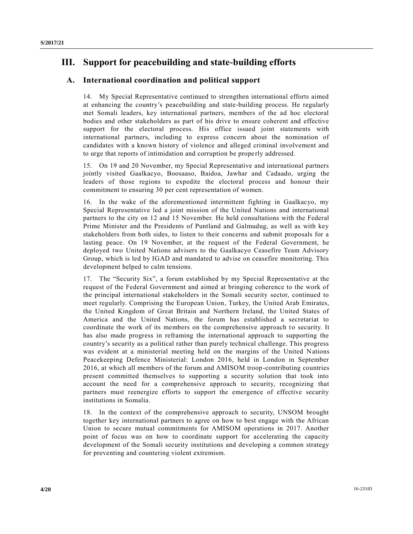# **III. Support for peacebuilding and state-building efforts**

## **A. International coordination and political support**

14. My Special Representative continued to strengthen international efforts aimed at enhancing the country's peacebuilding and state-building process. He regularly met Somali leaders, key international partners, members of the ad hoc electoral bodies and other stakeholders as part of his drive to ensure coherent and effective support for the electoral process. His office issued joint statements with international partners, including to express concern about the nomination of candidates with a known history of violence and alleged criminal involvement and to urge that reports of intimidation and corruption be properly addressed.

15. On 19 and 20 November, my Special Representative and international partners jointly visited Gaalkacyo, Boosaaso, Baidoa, Jawhar and Cadaado, urging the leaders of those regions to expedite the electoral process and honour their commitment to ensuring 30 per cent representation of women.

16. In the wake of the aforementioned intermittent fighting in Gaalkacyo, my Special Representative led a joint mission of the United Nations and international partners to the city on 12 and 15 November. He held consultations with the Federal Prime Minister and the Presidents of Puntland and Galmudug, as well as with key stakeholders from both sides, to listen to their concerns and submit proposals for a lasting peace. On 19 November, at the request of the Federal Government, he deployed two United Nations advisers to the Gaalkacyo Ceasefire Team Advisory Group, which is led by IGAD and mandated to advise on ceasefire monitoring. This development helped to calm tensions.

17. The "Security Six", a forum established by my Special Representative at the request of the Federal Government and aimed at bringing coherence to the work of the principal international stakeholders in the Somali security sector, continued to meet regularly. Comprising the European Union, Turkey, the United Arab Emirates, the United Kingdom of Great Britain and Northern Ireland, the United States of America and the United Nations, the forum has established a secretariat to coordinate the work of its members on the comprehensive approach to security. It has also made progress in reframing the international approach to supporting the country's security as a political rather than purely technical challenge. This progress was evident at a ministerial meeting held on the margins of the United Nations Peacekeeping Defence Ministerial: London 2016, held in London in September 2016, at which all members of the forum and AMISOM troop-contributing countries present committed themselves to supporting a security solution that took into account the need for a comprehensive approach to security, recognizing that partners must reenergize efforts to support the emergence of effective security institutions in Somalia.

18. In the context of the comprehensive approach to security, UNSOM brought together key international partners to agree on how to best engage with the African Union to secure mutual commitments for AMISOM operations in 2017. Another point of focus was on how to coordinate support for accelerating the capacity development of the Somali security institutions and developing a common strategy for preventing and countering violent extremism.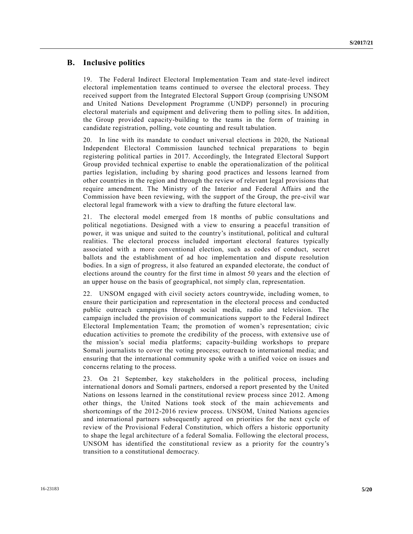### **B. Inclusive politics**

19. The Federal Indirect Electoral Implementation Team and state-level indirect electoral implementation teams continued to oversee the electoral process. They received support from the Integrated Electoral Support Group (comprising UNSOM and United Nations Development Programme (UNDP) personnel) in procuring electoral materials and equipment and delivering them to polling sites. In add ition, the Group provided capacity-building to the teams in the form of training in candidate registration, polling, vote counting and result tabulation.

20. In line with its mandate to conduct universal elections in 2020, the National Independent Electoral Commission launched technical preparations to begin registering political parties in 2017. Accordingly, the Integrated Electoral Support Group provided technical expertise to enable the operationalization of the political parties legislation, including by sharing good practices and lessons learned from other countries in the region and through the review of relevant legal provisions that require amendment. The Ministry of the Interior and Federal Affairs and the Commission have been reviewing, with the support of the Group, the pre-civil war electoral legal framework with a view to drafting the future electoral law.

21. The electoral model emerged from 18 months of public consultations and political negotiations. Designed with a view to ensuring a peaceful transition of power, it was unique and suited to the country's institutional, political and cultural realities. The electoral process included important electoral features typically associated with a more conventional election, such as codes of conduct, secret ballots and the establishment of ad hoc implementation and dispute resolution bodies. In a sign of progress, it also featured an expanded electorate, the conduct of elections around the country for the first time in almost 50 years and the election of an upper house on the basis of geographical, not simply clan, representation.

22. UNSOM engaged with civil society actors countrywide, including women, to ensure their participation and representation in the electoral process and conducted public outreach campaigns through social media, radio and television. The campaign included the provision of communications support to the Federal Indirect Electoral Implementation Team; the promotion of women's representation; civic education activities to promote the credibility of the process, with extensive use of the mission's social media platforms; capacity-building workshops to prepare Somali journalists to cover the voting process; outreach to international media; and ensuring that the international community spoke with a unified voice on issues and concerns relating to the process.

23. On 21 September, key stakeholders in the political process, including international donors and Somali partners, endorsed a report presented by the United Nations on lessons learned in the constitutional review process since 2012. Among other things, the United Nations took stock of the main achievements and shortcomings of the 2012-2016 review process. UNSOM, United Nations agencies and international partners subsequently agreed on priorities for the next cycle of review of the Provisional Federal Constitution, which offers a historic opportunity to shape the legal architecture of a federal Somalia. Following the electoral process, UNSOM has identified the constitutional review as a priority for the country's transition to a constitutional democracy.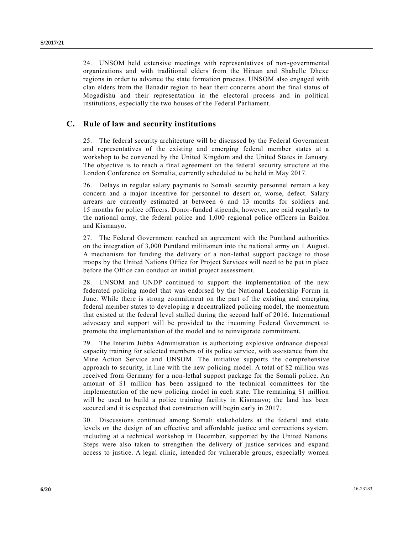24. UNSOM held extensive meetings with representatives of non-governmental organizations and with traditional elders from the Hiraan and Shabelle Dhexe regions in order to advance the state formation process. UNSOM also engaged with clan elders from the Banadir region to hear their concerns about the final status of Mogadishu and their representation in the electoral process and in political institutions, especially the two houses of the Federal Parliament.

## **C. Rule of law and security institutions**

25. The federal security architecture will be discussed by the Federal Government and representatives of the existing and emerging federal member states at a workshop to be convened by the United Kingdom and the United States in January. The objective is to reach a final agreement on the federal security structure at the London Conference on Somalia, currently scheduled to be held in May 2017.

26. Delays in regular salary payments to Somali security personnel remain a key concern and a major incentive for personnel to desert or, worse, defect. Salary arrears are currently estimated at between 6 and 13 months for soldiers and 15 months for police officers. Donor-funded stipends, however, are paid regularly to the national army, the federal police and 1,000 regional police officers in Baidoa and Kismaayo.

27. The Federal Government reached an agreement with the Puntland authorities on the integration of 3,000 Puntland militiamen into the na tional army on 1 August. A mechanism for funding the delivery of a non-lethal support package to those troops by the United Nations Office for Project Services will need to be put in place before the Office can conduct an initial project assessment.

28. UNSOM and UNDP continued to support the implementation of the new federated policing model that was endorsed by the National Leadership Forum in June. While there is strong commitment on the part of the existing and emerging federal member states to developing a decentralized policing model, the momentum that existed at the federal level stalled during the second half of 2016. International advocacy and support will be provided to the incoming Federal Government to promote the implementation of the model and to reinvigorate commitment.

29. The Interim Jubba Administration is authorizing explosive ordnance disposal capacity training for selected members of its police service, with assistance from the Mine Action Service and UNSOM. The initiative supports the comprehensive approach to security, in line with the new policing model. A total of \$2 million was received from Germany for a non-lethal support package for the Somali police. An amount of \$1 million has been assigned to the technical committees for the implementation of the new policing model in each state. The remaining \$1 million will be used to build a police training facility in Kismaayo; the land has been secured and it is expected that construction will begin early in 2017.

30. Discussions continued among Somali stakeholders at the federal and state levels on the design of an effective and affordable justice and corrections system, including at a technical workshop in December, supported by the United Nations. Steps were also taken to strengthen the delivery of justice services and expand access to justice. A legal clinic, intended for vulnerable groups, especially women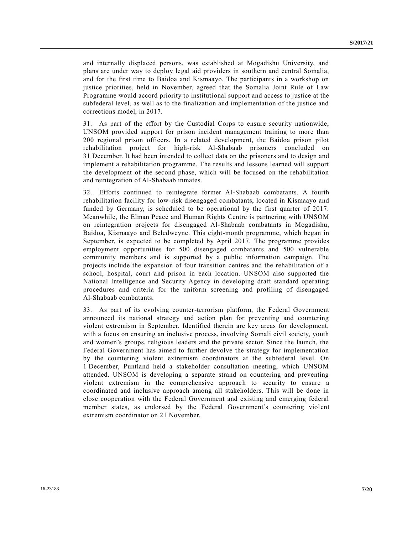and internally displaced persons, was established at Mogadishu University, and plans are under way to deploy legal aid providers in southern and central Somalia, and for the first time to Baidoa and Kismaayo. The participants in a workshop on justice priorities, held in November, agreed that the Somalia Joint Rule of Law Programme would accord priority to institutional support and access to justice at the subfederal level, as well as to the finalization and implementation of the justice and corrections model, in 2017.

31. As part of the effort by the Custodial Corps to ensure security nationwide, UNSOM provided support for prison incident management training to more than 200 regional prison officers. In a related development, the Baidoa prison pilot rehabilitation project for high-risk Al-Shabaab prisoners concluded on 31 December. It had been intended to collect data on the prisoners and to design and implement a rehabilitation programme. The results and lessons learned will support the development of the second phase, which will be focused on the rehabilitation and reintegration of Al-Shabaab inmates.

32. Efforts continued to reintegrate former Al-Shabaab combatants. A fourth rehabilitation facility for low-risk disengaged combatants, located in Kismaayo and funded by Germany, is scheduled to be operational by the first quarter of 2017. Meanwhile, the Elman Peace and Human Rights Centre is partnering with UNSOM on reintegration projects for disengaged Al-Shabaab combatants in Mogadishu, Baidoa, Kismaayo and Beledweyne. This eight-month programme, which began in September, is expected to be completed by April 2017. The programme provides employment opportunities for 500 disengaged combatants and 500 vulnerable community members and is supported by a public information campaign. The projects include the expansion of four transition centres and the rehabilitation of a school, hospital, court and prison in each location. UNSOM also supported the National Intelligence and Security Agency in developing draft standard operating procedures and criteria for the uniform screening and profiling of disengaged Al-Shabaab combatants.

33. As part of its evolving counter-terrorism platform, the Federal Government announced its national strategy and action plan for preventing and countering violent extremism in September. Identified therein are key areas for development, with a focus on ensuring an inclusive process, involving Somali civil society, youth and women's groups, religious leaders and the private sector. Since the launch, the Federal Government has aimed to further devolve the strategy for implementation by the countering violent extremism coordinators at the subfederal level. On 1 December, Puntland held a stakeholder consultation meeting, which UNSOM attended. UNSOM is developing a separate strand on countering and preventing violent extremism in the comprehensive approach to security to ensure a coordinated and inclusive approach among all stakeholders. This will be done in close cooperation with the Federal Government and existing and emerging federal member states, as endorsed by the Federal Government's countering violent extremism coordinator on 21 November.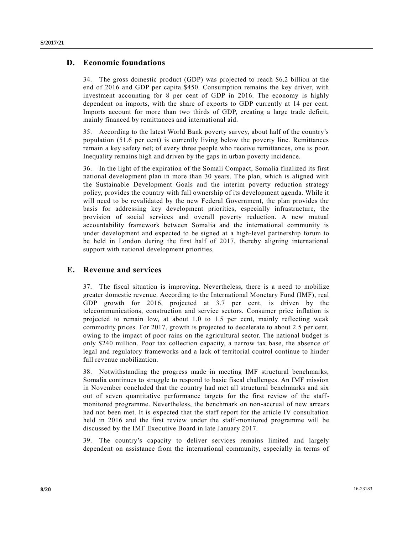## **D. Economic foundations**

34. The gross domestic product (GDP) was projected to reach \$6.2 billion at the end of 2016 and GDP per capita \$450. Consumption remains the key driver, with investment accounting for 8 per cent of GDP in 2016. The economy is highly dependent on imports, with the share of exports to GDP currently at 14 per cent. Imports account for more than two thirds of GDP, creating a large trade deficit, mainly financed by remittances and international aid.

35. According to the latest World Bank poverty survey, about half of the country's population (51.6 per cent) is currently living below the poverty line. Remittances remain a key safety net; of every three people who receive remittances, one is poor. Inequality remains high and driven by the gaps in urban poverty incidence.

36. In the light of the expiration of the Somali Compact, Somalia finalized its first national development plan in more than 30 years. The plan, which is aligned with the Sustainable Development Goals and the interim poverty reduction strategy policy, provides the country with full ownership of its development agenda. While it will need to be revalidated by the new Federal Government, the plan provides the basis for addressing key development priorities, especially infrastructure, the provision of social services and overall poverty reduction. A new mutual accountability framework between Somalia and the international community is under development and expected to be signed at a high-level partnership forum to be held in London during the first half of 2017, thereby aligning international support with national development priorities.

## **E. Revenue and services**

37. The fiscal situation is improving. Nevertheless, there is a need to mobilize greater domestic revenue. According to the International Monetary Fund (IMF), real GDP growth for 2016, projected at 3.7 per cent, is driven by the telecommunications, construction and service sectors. Consumer price inflation is projected to remain low, at about 1.0 to 1.5 per cent, mainly reflecting weak commodity prices. For 2017, growth is projected to decelerate to about 2.5 per cent, owing to the impact of poor rains on the agricultural sector. The national budget is only \$240 million. Poor tax collection capacity, a narrow tax base, the absence of legal and regulatory frameworks and a lack of territorial control continue to hinder full revenue mobilization.

38. Notwithstanding the progress made in meeting IMF structural benchmarks, Somalia continues to struggle to respond to basic fiscal challenges. An IMF mission in November concluded that the country had met all structural benchmarks and six out of seven quantitative performance targets for the first review of the staffmonitored programme. Nevertheless, the benchmark on non-accrual of new arrears had not been met. It is expected that the staff report for the article IV consultation held in 2016 and the first review under the staff-monitored programme will be discussed by the IMF Executive Board in late January 2017.

39. The country's capacity to deliver services remains limited and largely dependent on assistance from the international community, especially in terms of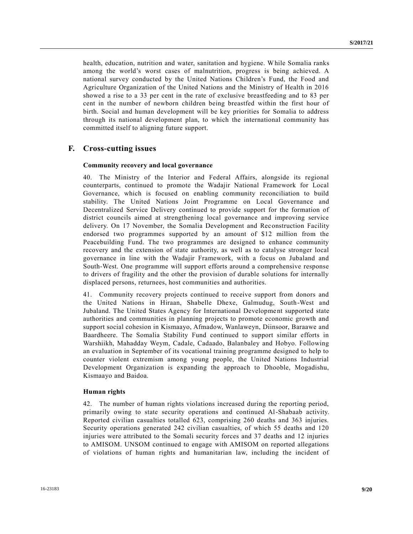health, education, nutrition and water, sanitation and hygiene. While Somalia ranks among the world's worst cases of malnutrition, progress is being achieved. A national survey conducted by the United Nations Children's Fund, the Food and Agriculture Organization of the United Nations and the Ministry of Health in 2016 showed a rise to a 33 per cent in the rate of exclusive breastfeeding and to 83 per cent in the number of newborn children being breastfed within the first hour of birth. Social and human development will be key priorities for Somalia to address through its national development plan, to which the international community has committed itself to aligning future support.

### **F. Cross-cutting issues**

#### **Community recovery and local governance**

40. The Ministry of the Interior and Federal Affairs, alongside its regional counterparts, continued to promote the Wadajir National Framework for Local Governance, which is focused on enabling community reconciliation to build stability. The United Nations Joint Programme on Local Governance and Decentralized Service Delivery continued to provide support for the formation of district councils aimed at strengthening local governance and improving service delivery. On 17 November, the Somalia Development and Reconstruction Facility endorsed two programmes supported by an amount of \$12 million from the Peacebuilding Fund. The two programmes are designed to enhance community recovery and the extension of state authority, as well as to catalyse stronger local governance in line with the Wadajir Framework, with a focus on Jubaland and South-West. One programme will support efforts around a comprehensive response to drivers of fragility and the other the provision of durable solutions for internally displaced persons, returnees, host communities and authorities.

41. Community recovery projects continued to receive support from donors and the United Nations in Hiraan, Shabelle Dhexe, Galmudug, South-West and Jubaland. The United States Agency for International Development supported state authorities and communities in planning projects to promote economic growth and support social cohesion in Kismaayo, Afmadow, Wanlaweyn, Diinsoor, Baraawe and Baardheere. The Somalia Stability Fund continued to support similar efforts in Warshiikh, Mahadday Weym, Cadale, Cadaado, Balanbaley and Hobyo. Following an evaluation in September of its vocational training programme designed to help to counter violent extremism among young people, the United Nations Industrial Development Organization is expanding the approach to Dhooble, Mogadishu, Kismaayo and Baidoa.

#### **Human rights**

42. The number of human rights violations increased during the reporting period, primarily owing to state security operations and continued Al-Shabaab activity. Reported civilian casualties totalled 623, comprising 260 deaths and 363 injuries. Security operations generated 242 civilian casualties, of which 55 deaths and 120 injuries were attributed to the Somali security forces and 37 deaths and 12 injuries to AMISOM. UNSOM continued to engage with AMISOM on reported allegations of violations of human rights and humanitarian law, including the incident of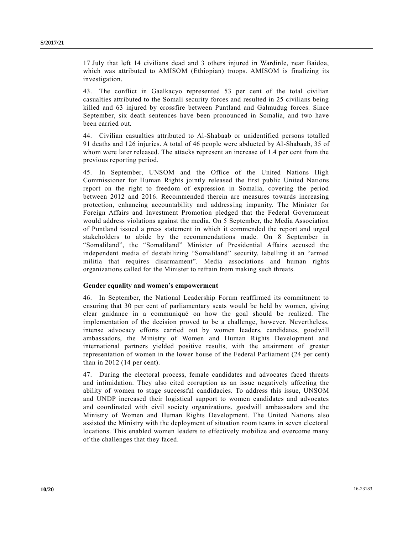17 July that left 14 civilians dead and 3 others injured in Wardinle, near Baidoa, which was attributed to AMISOM (Ethiopian) troops. AMISOM is finalizing its investigation.

43. The conflict in Gaalkacyo represented 53 per cent of the total civilian casualties attributed to the Somali security forces and resulted in 25 civilians being killed and 63 injured by crossfire between Puntland and Galmudug forces. Since September, six death sentences have been pronounced in Somalia, and two have been carried out.

44. Civilian casualties attributed to Al-Shabaab or unidentified persons totalled 91 deaths and 126 injuries. A total of 46 people were abducted by Al-Shabaab, 35 of whom were later released. The attacks represent an increase of 1.4 per cent from the previous reporting period.

45. In September, UNSOM and the Office of the United Nations High Commissioner for Human Rights jointly released the first public United Nations report on the right to freedom of expression in Somalia, covering the period between 2012 and 2016. Recommended therein are measures towards increasing protection, enhancing accountability and addressing impunity. The Minister for Foreign Affairs and Investment Promotion pledged that the Federal Government would address violations against the media. On 5 September, the Media Association of Puntland issued a press statement in which it commended the report and urged stakeholders to abide by the recommendations made. On 8 September in "Somaliland", the "Somaliland" Minister of Presidential Affairs accused the independent media of destabilizing "Somaliland" security, labelling it an "armed militia that requires disarmament". Media associations and human rights organizations called for the Minister to refrain from making such threats.

### **Gender equality and women's empowerment**

46. In September, the National Leadership Forum reaffirmed its commitment to ensuring that 30 per cent of parliamentary seats would be held by women, giving clear guidance in a communiqué on how the goal should be realized. The implementation of the decision proved to be a challenge, however. Nevertheless, intense advocacy efforts carried out by women leaders, candidates, goodwill ambassadors, the Ministry of Women and Human Rights Development and international partners yielded positive results, with the attainment of greater representation of women in the lower house of the Federal Parliament (24 per cent) than in 2012 (14 per cent).

47. During the electoral process, female candidates and advocates faced threats and intimidation. They also cited corruption as an issue negatively affecting the ability of women to stage successful candidacies. To address this issue, UNSOM and UNDP increased their logistical support to women candidates and advocates and coordinated with civil society organizations, goodwill ambassadors and the Ministry of Women and Human Rights Development. The United Nations also assisted the Ministry with the deployment of situation room teams in seven electoral locations. This enabled women leaders to effectively mobilize and overcome many of the challenges that they faced.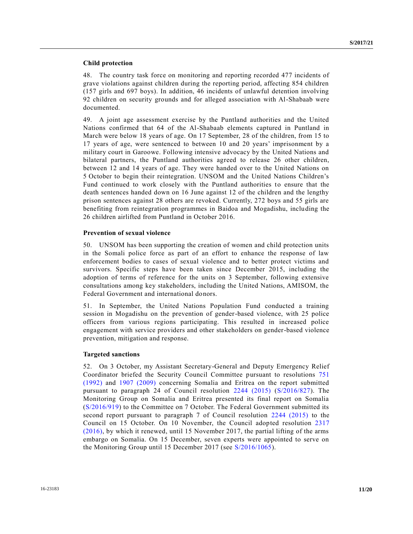#### **Child protection**

48. The country task force on monitoring and reporting recorded 477 incidents of grave violations against children during the reporting period, affecting 854 children (157 girls and 697 boys). In addition, 46 incidents of unlawful detention involving 92 children on security grounds and for alleged association with Al-Shabaab were documented.

49. A joint age assessment exercise by the Puntland authorities and the United Nations confirmed that 64 of the Al-Shabaab elements captured in Puntland in March were below 18 years of age. On 17 September, 28 of the children, from 15 to 17 years of age, were sentenced to between 10 and 20 years' imprisonment by a military court in Garoowe. Following intensive advocacy by the United Nations and bilateral partners, the Puntland authorities agreed to release 26 other children, between 12 and 14 years of age. They were handed over to the United Nations on 5 October to begin their reintegration. UNSOM and the United Nations Children's Fund continued to work closely with the Puntland authorities to ensure that the death sentences handed down on 16 June against 12 of the children and the lengthy prison sentences against 28 others are revoked. Currently, 272 boys and 55 girls are benefiting from reintegration programmes in Baidoa and Mogadishu, including the 26 children airlifted from Puntland in October 2016.

#### **Prevention of sexual violence**

50. UNSOM has been supporting the creation of women and child protection units in the Somali police force as part of an effort to enhance the response of law enforcement bodies to cases of sexual violence and to better protect victims and survivors. Specific steps have been taken since December 2015, including the adoption of terms of reference for the units on 3 September, following extensive consultations among key stakeholders, including the United Nations, AMISOM, the Federal Government and international donors.

51. In September, the United Nations Population Fund conducted a training session in Mogadishu on the prevention of gender-based violence, with 25 police officers from various regions participating. This resulted in increased police engagement with service providers and other stakeholders on gender-based violence prevention, mitigation and response.

### **Targeted sanctions**

52. On 3 October, my Assistant Secretary-General and Deputy Emergency Relief Coordinator briefed the Security Council Committee pursuant to resolutions [751](http://undocs.org/S/RES/751(1992))  [\(1992\)](http://undocs.org/S/RES/751(1992)) and [1907 \(2009\)](http://undocs.org/S/RES/1907(2009)) concerning Somalia and Eritrea on the report submitted pursuant to paragraph 24 of Council resolution [2244 \(2015\)](http://undocs.org/S/RES/2244(2015)) [\(S/2016/827\)](http://undocs.org/S/2016/827). The Monitoring Group on Somalia and Eritrea presented its final report on Somalia [\(S/2016/919\)](http://undocs.org/S/2016/919) to the Committee on 7 October. The Federal Government submitted its second report pursuant to paragraph 7 of Council resolution [2244 \(2015\)](http://undocs.org/S/RES/2244(2015)) to the Council on 15 October. On 10 November, the Council adopted resolution [2317](http://undocs.org/S/RES/2317(2016))  [\(2016\),](http://undocs.org/S/RES/2317(2016)) by which it renewed, until 15 November 2017, the partial lifting of the arms embargo on Somalia. On 15 December, seven experts were appointed to serve on the Monitoring Group until 15 December 2017 (see [S/2016/1065\)](http://undocs.org/S/2016/1065).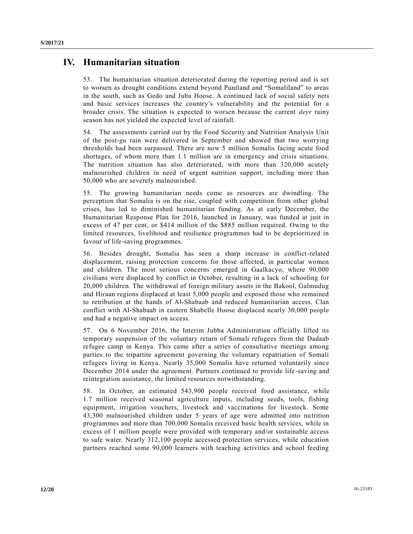# **IV. Humanitarian situation**

53. The humanitarian situation deteriorated during the reporting period and is set to worsen as drought conditions extend beyond Puntland and "Somaliland" to areas in the south, such as Gedo and Juba Hoose. A continued lack of social safety nets and basic services increases the country's vulnerability and the potential for a broader crisis. The situation is expected to worsen because the current *deyr* rainy season has not yielded the expected level of rainfall.

54. The assessments carried out by the Food Security and Nutrition Analysis Unit of the post-*gu* rain were delivered in September and showed that two worrying thresholds had been surpassed. There are now 5 million Somalis facing acute food shortages, of whom more than 1.1 million are in emergency and crisis situations. The nutrition situation has also deteriorated, with more than 320,000 acutely malnourished children in need of urgent nutrition support, including more than 50,000 who are severely malnourished.

55. The growing humanitarian needs come as resources are dwindling. The perception that Somalia is on the rise, coupled with competition from other global crises, has led to diminished humanitarian funding. As at early December, the Humanitarian Response Plan for 2016, launched in January, was funded at just in excess of 47 per cent, or \$414 million of the \$885 million required. Owing to the limited resources, livelihood and resilience programmes had to be deprioritized in favour of life-saving programmes.

56. Besides drought, Somalia has seen a sharp increase in conflict-related displacement, raising protection concerns for those affected, in particular women and children. The most serious concerns emerged in Gaalkacyo, where 90,000 civilians were displaced by conflict in October, resulting in a lack of schooling for 20,000 children. The withdrawal of foreign military assets in the Bakool, Galmudug and Hiraan regions displaced at least 5,000 people and exposed those who remained to retribution at the hands of Al-Shabaab and reduced humanitarian access. Clan conflict with Al-Shabaab in eastern Shabelle Hoose displaced nearly 30,000 people and had a negative impact on access.

57. On 6 November 2016, the Interim Jubba Administration officially lifted its temporary suspension of the voluntary return of Somali refugees from the Dadaab refugee camp in Kenya. This came after a series of consultative meetings among parties to the tripartite agreement governing the voluntary repatriation of Somali refugees living in Kenya. Nearly 35,000 Somalis have returned voluntarily since December 2014 under the agreement. Partners continued to provide life -saving and reintegration assistance, the limited resources notwithstanding.

58. In October, an estimated 543,900 people received food assistance, while 1.7 million received seasonal agriculture inputs, including seeds, tools, fishing equipment, irrigation vouchers, livestock and vaccinations for livestock. Some 43,300 malnourished children under 5 years of age were admitted into nutrition programmes and more than 700,000 Somalis received basic health services, while in excess of 1 million people were provided with temporary and/or sustainable access to safe water. Nearly 312,100 people accessed protection services, while education partners reached some 90,000 learners with teaching activities and school feeding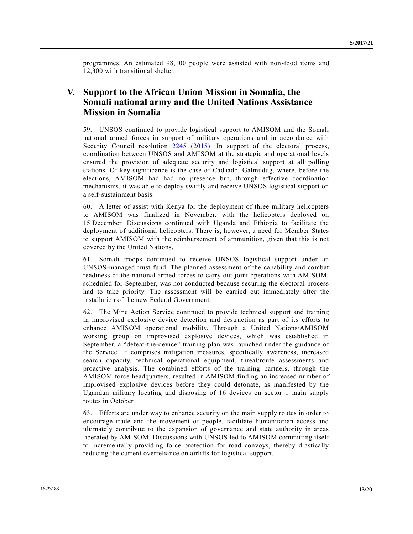programmes. An estimated 98,100 people were assisted with non-food items and 12,300 with transitional shelter.

## **V. Support to the African Union Mission in Somalia, the Somali national army and the United Nations Assistance Mission in Somalia**

59. UNSOS continued to provide logistical support to AMISOM and the Somali national armed forces in support of military operations and in accordance with Security Council resolution [2245 \(2015\).](http://undocs.org/S/RES/2245(2015)) In support of the electoral process, coordination between UNSOS and AMISOM at the strategic and operational levels ensured the provision of adequate security and logistical support at all polling stations. Of key significance is the case of Cadaado, Galmudug, where, before the elections, AMISOM had had no presence but, through effective coordination mechanisms, it was able to deploy swiftly and receive UNSOS logistical support on a self-sustainment basis.

60. A letter of assist with Kenya for the deployment of three military helicopters to AMISOM was finalized in November, with the helicopters deployed on 15 December. Discussions continued with Uganda and Ethiopia to facilitate the deployment of additional helicopters. There is, however, a need for Member States to support AMISOM with the reimbursement of ammunition, given that this is not covered by the United Nations.

61. Somali troops continued to receive UNSOS logistical support under an UNSOS-managed trust fund. The planned assessment of the capability and combat readiness of the national armed forces to carry out joint operations with AMISOM, scheduled for September, was not conducted because securing the electoral process had to take priority. The assessment will be carried out immediately after the installation of the new Federal Government.

62. The Mine Action Service continued to provide technical support and training in improvised explosive device detection and destruction as part of its efforts to enhance AMISOM operational mobility. Through a United Nations/AMISOM working group on improvised explosive devices, which was established in September, a "defeat-the-device" training plan was launched under the guidance of the Service. It comprises mitigation measures, specifically awareness, increased search capacity, technical operational equipment, threat/route assessments and proactive analysis. The combined efforts of the training partners, through the AMISOM force headquarters, resulted in AMISOM finding an increased number of improvised explosive devices before they could detonate, as manifested by the Ugandan military locating and disposing of 16 devices on sector 1 main supply routes in October.

63. Efforts are under way to enhance security on the main supply routes in order to encourage trade and the movement of people, facilitate humanitarian access and ultimately contribute to the expansion of governance and state authority in areas liberated by AMISOM. Discussions with UNSOS led to AMISOM committing itself to incrementally providing force protection for road convoys, thereby drastically reducing the current overreliance on airlifts for logistical support.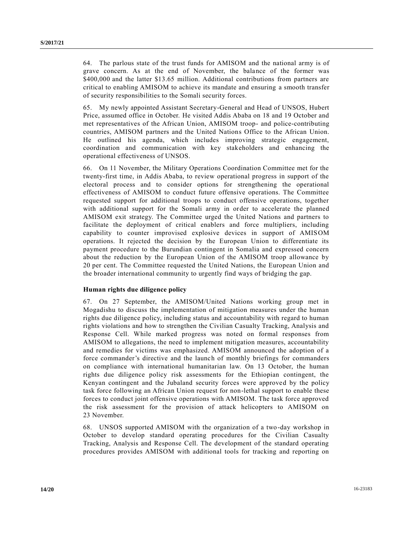64. The parlous state of the trust funds for AMISOM and the national army is of grave concern. As at the end of November, the balance of the former was \$400,000 and the latter \$13.65 million. Additional contributions from partners are critical to enabling AMISOM to achieve its mandate and ensuring a smooth transfer of security responsibilities to the Somali security forces.

65. My newly appointed Assistant Secretary-General and Head of UNSOS, Hubert Price, assumed office in October. He visited Addis Ababa on 18 and 19 October and met representatives of the African Union, AMISOM troop- and police-contributing countries, AMISOM partners and the United Nations Office to the African Union. He outlined his agenda, which includes improving strategic engagement, coordination and communication with key stakeholders and enhancing the operational effectiveness of UNSOS.

66. On 11 November, the Military Operations Coordination Committee met for the twenty-first time, in Addis Ababa, to review operational progress in support of the electoral process and to consider options for strengthening the operational effectiveness of AMISOM to conduct future offensive operations. The Committee requested support for additional troops to conduct offensive operations, together with additional support for the Somali army in order to accelerate the planned AMISOM exit strategy. The Committee urged the United Nations and partners to facilitate the deployment of critical enablers and force multipliers, including capability to counter improvised explosive devices in support of AMISOM operations. It rejected the decision by the European Union to differentiate its payment procedure to the Burundian contingent in Somalia and expressed concern about the reduction by the European Union of the AMISOM troop allowance by 20 per cent. The Committee requested the United Nations, the European Union and the broader international community to urgently find ways of bridging the gap.

### **Human rights due diligence policy**

67. On 27 September, the AMISOM/United Nations working group met in Mogadishu to discuss the implementation of mitigation measures under the human rights due diligence policy, including status and accountability with regard to human rights violations and how to strengthen the Civilian Casualty Tracking, Analysis and Response Cell. While marked progress was noted on formal responses from AMISOM to allegations, the need to implement mitigation measures, accountability and remedies for victims was emphasized. AMISOM announced the adoption of a force commander's directive and the launch of monthly briefings for commanders on compliance with international humanitarian law. On 13 October, the human rights due diligence policy risk assessments for the Ethiopian contingent, the Kenyan contingent and the Jubaland security forces were approved by the policy task force following an African Union request for non-lethal support to enable these forces to conduct joint offensive operations with AMISOM. The task force approved the risk assessment for the provision of attack helicopters to AMISOM on 23 November.

68. UNSOS supported AMISOM with the organization of a two-day workshop in October to develop standard operating procedures for the Civilian Casualty Tracking, Analysis and Response Cell. The development of the standard operating procedures provides AMISOM with additional tools for tracking and reporting on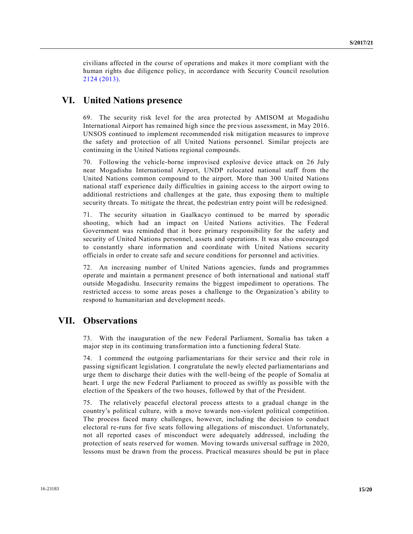civilians affected in the course of operations and makes it more compliant with the human rights due diligence policy, in accordance with Security Council resolution [2124 \(2013\).](http://undocs.org/S/RES/2124(2013))

## **VI. United Nations presence**

69. The security risk level for the area protected by AMISOM at Mogadishu International Airport has remained high since the previous assessment, in May 2016. UNSOS continued to implement recommended risk mitigation measures to improve the safety and protection of all United Nations personnel. Similar projects are continuing in the United Nations regional compounds.

70. Following the vehicle-borne improvised explosive device attack on 26 July near Mogadishu International Airport, UNDP relocated national staff from the United Nations common compound to the airport. More than 300 United Nations national staff experience daily difficulties in gaining access to the airport owing to additional restrictions and challenges at the gate, thus exposing them to multiple security threats. To mitigate the threat, the pedestrian entry point will be redesigned.

71. The security situation in Gaalkacyo continued to be marred by sporadic shooting, which had an impact on United Nations activities. The Federal Government was reminded that it bore primary responsibility for the safety and security of United Nations personnel, assets and operations. It was also encouraged to constantly share information and coordinate with United Nations security officials in order to create safe and secure conditions for personnel and activities.

72. An increasing number of United Nations agencies, funds and programmes operate and maintain a permanent presence of both international and national staff outside Mogadishu. Insecurity remains the biggest impediment to operations. The restricted access to some areas poses a challenge to the Organization's ability to respond to humanitarian and development needs.

## **VII. Observations**

73. With the inauguration of the new Federal Parliament, Somalia has taken a major step in its continuing transformation into a functioning federal State.

74. I commend the outgoing parliamentarians for their service and their role in passing significant legislation. I congratulate the newly elected parliamentarians and urge them to discharge their duties with the well-being of the people of Somalia at heart. I urge the new Federal Parliament to proceed as swiftly as possible with the election of the Speakers of the two houses, followed by that of the President.

75. The relatively peaceful electoral process attests to a gradual change in the country's political culture, with a move towards non-violent political competition. The process faced many challenges, however, including the decision to conduct electoral re-runs for five seats following allegations of misconduct. Unfortunately, not all reported cases of misconduct were adequately addressed, including the protection of seats reserved for women. Moving towards universal suffrage in 2020, lessons must be drawn from the process. Practical measures should be put in place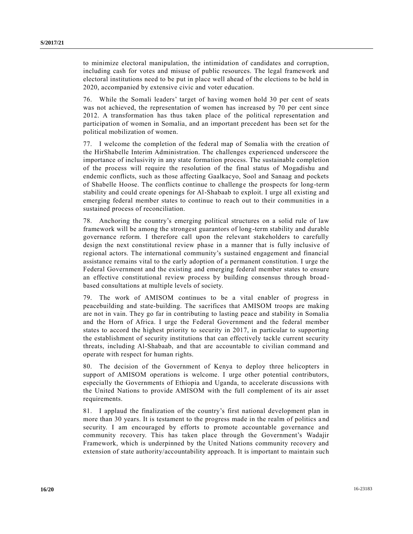to minimize electoral manipulation, the intimidation of candidates and corruption, including cash for votes and misuse of public resources. The legal framework and electoral institutions need to be put in place well ahead of the elections to be held in 2020, accompanied by extensive civic and voter education.

76. While the Somali leaders' target of having women hold 30 per cent of seats was not achieved, the representation of women has increased by 70 per cent since 2012. A transformation has thus taken place of the political representation and participation of women in Somalia, and an important precedent has been set for the political mobilization of women.

77. I welcome the completion of the federal map of Somalia with the creation of the HirShabelle Interim Administration. The challenges experienced underscore the importance of inclusivity in any state formation process. The sustainable completion of the process will require the resolution of the final status of Mogadishu and endemic conflicts, such as those affecting Gaalkacyo, Sool and Sanaag and pockets of Shabelle Hoose. The conflicts continue to challenge the prospects for long-term stability and could create openings for Al-Shabaab to exploit. I urge all existing and emerging federal member states to continue to reach out to their communities in a sustained process of reconciliation.

78. Anchoring the country's emerging political structures on a solid rule of law framework will be among the strongest guarantors of long-term stability and durable governance reform. I therefore call upon the relevant stakeholders to carefully design the next constitutional review phase in a manner that is fully inclusive of regional actors. The international community's sustained engagement and financial assistance remains vital to the early adoption of a permanent constitution. I urge the Federal Government and the existing and emerging federal member states to ensure an effective constitutional review process by building consensus through broad based consultations at multiple levels of society.

79. The work of AMISOM continues to be a vital enabler of progress in peacebuilding and state-building. The sacrifices that AMISOM troops are making are not in vain. They go far in contributing to lasting peace and stability in Somalia and the Horn of Africa. I urge the Federal Government and the federal member states to accord the highest priority to security in 2017, in particular to supporting the establishment of security institutions that can effectively tackle current security threats, including Al-Shabaab, and that are accountable to civilian command and operate with respect for human rights.

80. The decision of the Government of Kenya to deploy three helicopters in support of AMISOM operations is welcome. I urge other potential contributors, especially the Governments of Ethiopia and Uganda, to accelerate discussions with the United Nations to provide AMISOM with the full complement of its air asset requirements.

81. I applaud the finalization of the country's first national development plan in more than 30 years. It is testament to the progress made in the realm of politics a nd security. I am encouraged by efforts to promote accountable governance and community recovery. This has taken place through the Government's Wadajir Framework, which is underpinned by the United Nations community recovery and extension of state authority/accountability approach. It is important to maintain such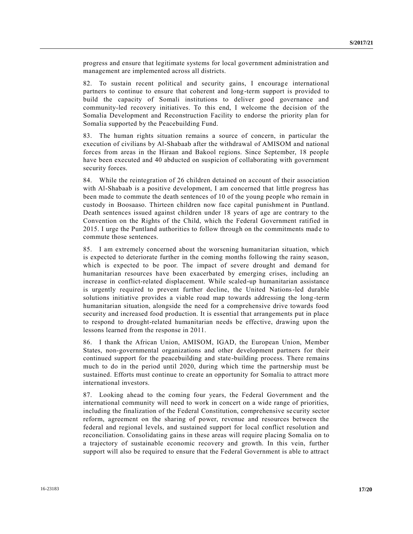progress and ensure that legitimate systems for local government administration and management are implemented across all districts.

82. To sustain recent political and security gains, I encourage international partners to continue to ensure that coherent and long-term support is provided to build the capacity of Somali institutions to deliver good governance and community-led recovery initiatives. To this end, I welcome the decision of the Somalia Development and Reconstruction Facility to endorse the priority plan for Somalia supported by the Peacebuilding Fund.

83. The human rights situation remains a source of concern, in particular the execution of civilians by Al-Shabaab after the withdrawal of AMISOM and national forces from areas in the Hiraan and Bakool regions. Since September, 18 people have been executed and 40 abducted on suspicion of collaborating with government security forces.

84. While the reintegration of 26 children detained on account of their association with Al-Shabaab is a positive development, I am concerned that little progress has been made to commute the death sentences of 10 of the young people who remain in custody in Boosaaso. Thirteen children now face capital punishment in Puntland. Death sentences issued against children under 18 years of age are contrary to the Convention on the Rights of the Child, which the Federal Government ratified in 2015. I urge the Puntland authorities to follow through on the commitments made to commute those sentences.

85. I am extremely concerned about the worsening humanitarian situation, which is expected to deteriorate further in the coming months following the rainy season, which is expected to be poor. The impact of severe drought and demand for humanitarian resources have been exacerbated by emerging crises, including an increase in conflict-related displacement. While scaled-up humanitarian assistance is urgently required to prevent further decline, the United Nations-led durable solutions initiative provides a viable road map towards addressing the long -term humanitarian situation, alongside the need for a comprehensive drive towards food security and increased food production. It is essential that arrangements put in place to respond to drought-related humanitarian needs be effective, drawing upon the lessons learned from the response in 2011.

86. I thank the African Union, AMISOM, IGAD, the European Union, Member States, non-governmental organizations and other development partners for their continued support for the peacebuilding and state-building process. There remains much to do in the period until 2020, during which time the partnership must be sustained. Efforts must continue to create an opportunity for Somalia to attract more international investors.

87. Looking ahead to the coming four years, the Federal Government and the international community will need to work in concert on a wide range of priorities, including the finalization of the Federal Constitution, comprehensive se curity sector reform, agreement on the sharing of power, revenue and resources between the federal and regional levels, and sustained support for local conflict resolution and reconciliation. Consolidating gains in these areas will require placing Somalia on to a trajectory of sustainable economic recovery and growth. In this vein, further support will also be required to ensure that the Federal Government is able to attract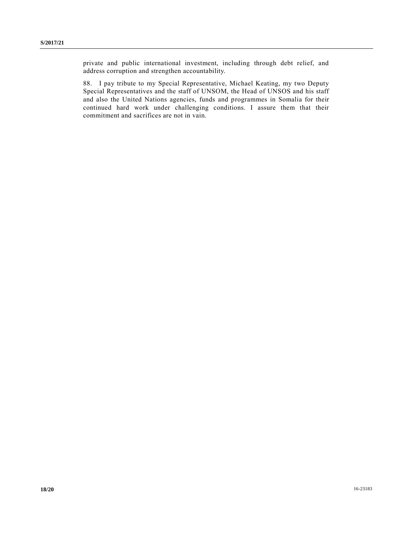private and public international investment, including through debt relief, and address corruption and strengthen accountability.

88. I pay tribute to my Special Representative, Michael Keating, my two Deputy Special Representatives and the staff of UNSOM, the Head of UNSOS and his staff and also the United Nations agencies, funds and programmes in Somalia for their continued hard work under challenging conditions. I assure them that their commitment and sacrifices are not in vain.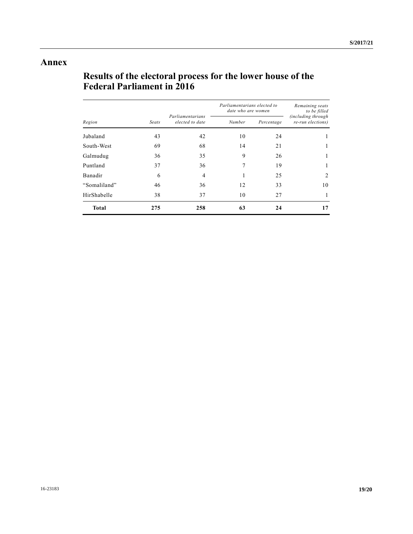## **Annex**

# **Results of the electoral process for the lower house of the Federal Parliament in 2016**

| Region       | Seats | Parliamentarians<br>elected to date | Parliamentarians elected to<br>date who are women |            | Remaining seats<br>to be filled                 |
|--------------|-------|-------------------------------------|---------------------------------------------------|------------|-------------------------------------------------|
|              |       |                                     | Number                                            | Percentage | <i>(including through)</i><br>re-run elections) |
| Jubaland     | 43    | 42                                  | 10                                                | 24         |                                                 |
| South-West   | 69    | 68                                  | 14                                                | 21         |                                                 |
| Galmudug     | 36    | 35                                  | 9                                                 | 26         | 1                                               |
| Puntland     | 37    | 36                                  | 7                                                 | 19         |                                                 |
| Banadir      | 6     | $\overline{4}$                      |                                                   | 25         | 2                                               |
| "Somaliland" | 46    | 36                                  | 12                                                | 33         | 10                                              |
| HirShabelle  | 38    | 37                                  | 10                                                | 27         |                                                 |
| <b>Total</b> | 275   | 258                                 | 63                                                | 24         | 17                                              |